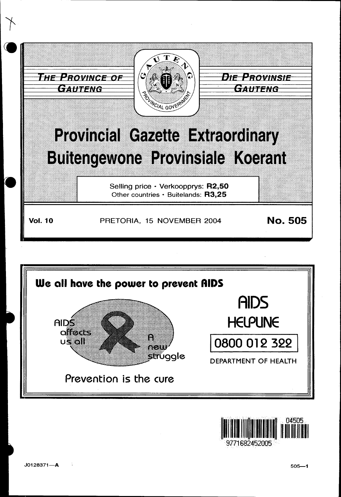



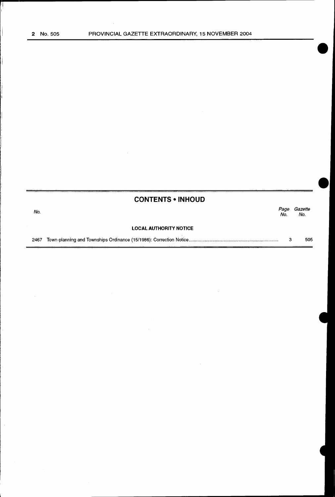$\begin{array}{c} \begin{array}{c} \begin{array}{c} \end{array} \\ \begin{array}{c} \end{array} \end{array} \end{array}$ 

 $\bar{z}$ 

| <b>CONTENTS • INHOUD</b> |
|--------------------------|
|--------------------------|

No. Page Gazette No. No.

#### LOCAL AUTHORITY NOTICE

2467 Town-planning and Townships Ordinance (15/1986): Correction Notice ..................................................................... .. 3 505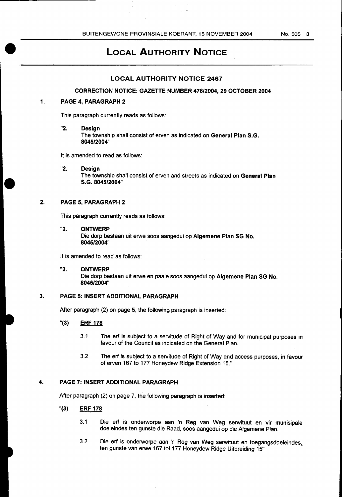$\sim$   $\sim$ 

# **LOCAL AUTHORITY NOTICE**

### **LOCAL AUTHORITY NOTICE 2467**

#### **CORRECTION NOTICE: GAZETIE NUMBER 478/2004, 29 OCTOBER 2004**

# **1. PAGE 4, PARAGRAPH 2**

This paragraph currently reads as follows:

**"2. Design** 

The township shall consist of erven as indicated on **General Plan S.G. 8045/2004"** 

It is amended to read as follows:

**"2. Design** 

The township shall consist of erven and streets as indicated on **General Plan S.G. 8045/2004"** 

# **2. PAGE 5, PARAGRAPH 2**

This paragraph currently reads as follows:

**"2. ONTWERP** 

Die dorp bestaan uit erwe soos aangedui op **Algemene Plan SG No. 8045/2004"** 

It is amended to read as follows:

**"2. ONTWERP**  Die dorp bestaan uit erwe en paaie soos aangedui op **Algemene Plan SG No. 8045/2004"** 

# **3. PAGE 5: INSERT ADDITIONAL PARAGRAPH**

After paragraph (2) on page 5, the following paragraph is inserted:

- "(3) **ERF 178** 
	- 3.1 The erf is subject to a servitude of Right of Way and for municipal purposes in favour of the Council as indicated on the General Plan.
	- 3.2 The erf is subject to a servitude of Right of Way and access purposes, in favour of erven 167 to 177 Honeydew Ridge Extension 15."

# **4. PAGE 7: INSERT ADDITIONAL PARAGRAPH**

After paragraph (2) on page 7, the following paragraph is inserted:

- "(3) **ERF 178** 
	- 3.1 Die erf is onderworpe aan 'n Reg van Weg serwituut en vir munisipale doeleindes ten gunste die Raad, soos aangedui op die Algemene Plan.
	- 3.2 Die erf is onderworpe aan 'n Reg van Weg serwituut en toegangsdoeleindes. ten gunste van erwe 167 tot 177 Honeydew Ridge Uitbreiding 15"